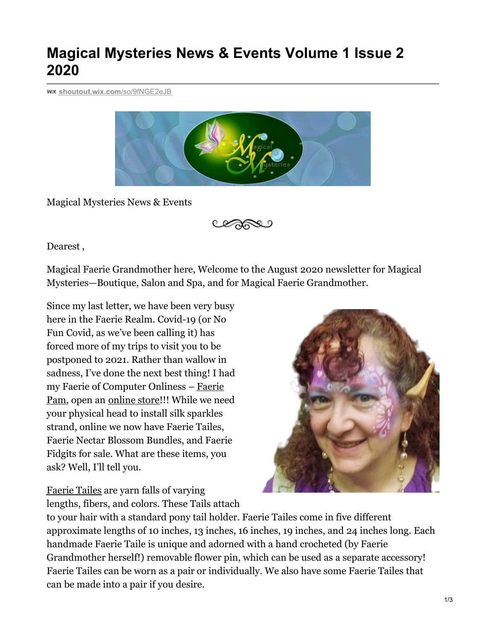## **Magical Mysteries News & Events Volume 1 Issue 2 2020**

**[shoutout.wix.com](https://shoutout.wix.com/so/9fNGE2eJB#/main)**/so/9fNGE2eJB



Magical Mysteries News & Events

Dearest ,

Magical Faerie Grandmother here, Welcome to the August 2020 newsletter for Magical Mysteries—Boutique, Salon and Spa, and for Magical Faerie Grandmother.

Since my last letter, we have been very busy here in the Faerie Realm. Covid-19 (or No Fun Covid, as we've been calling it) has forced more of my trips to visit you to be postponed to 2021. Rather than wallow in sadness, I've done the next best thing! I had my Faerie of [Computer](https://shoutout.wix.com/so/9fNGE2eJB/c?w=0mnL0-s5rGoeL4IAwxvr_lVz7lC7Lu-hFcGybkDdORc.eyJ1IjoiaHR0cHM6Ly93d3cubGlua2VkaW4uY29tL2luL3BhbWVsYS1rcnlnbGlrLyIsInIiOiJlODgwZThiNi0zYTI1LTQ4NDYtNDVhNC02NGY0NDYwZTAyODQiLCJtIjoibHAifQ) Onliness – Faerie Pam, open an [online](https://shoutout.wix.com/so/9fNGE2eJB/c?w=lqxo9BN1xBhtu0HrgJ9FNorO60zLRmwGpYjOx1kPli0.eyJ1IjoiaHR0cHM6Ly93d3cubWFnaWNhbC1teXN0ZXJpZXMuY29tL2Fib3V0LW91ci1wcm9kdWN0cyIsInIiOiJlODgwZThiNi0zYTI1LTQ4NDYtNDVhNC02NGY0NDYwZTAyODQiLCJtIjoibHAifQ) store!!! While we need your physical head to install silk sparkles strand, online we now have Faerie Tailes, Faerie Nectar Blossom Bundles, and Faerie Fidgits for sale. What are these items, you ask? Well, I'll tell you.

[Faerie](https://shoutout.wix.com/so/9fNGE2eJB/c?w=psNvRTmx0BneQtzCD9CdIWUrh5cP_VPPSH_Jjngx6_U.eyJ1IjoiaHR0cHM6Ly93d3cubWFnaWNhbC1teXN0ZXJpZXMuY29tL3Nob3AtMi8iLCJyIjoiZTg4MGU4YjYtM2EyNS00ODQ2LTQ1YTQtNjRmNDQ2MGUwMjg0IiwibSI6ImxwIn0) Tailes are yarn falls of varying lengths, fibers, and colors. These Tails attach

to your hair with a standard pony tail holder. Faerie Tailes come in five different approximate lengths of 10 inches, 13 inches, 16 inches, 19 inches, and 24 inches long. Each handmade Faerie Taile is unique and adorned with a hand crocheted (by Faerie Grandmother herself!) removable flower pin, which can be used as a separate accessory! Faerie Tailes can be worn as a pair or individually. We also have some Faerie Tailes that can be made into a pair if you desire.

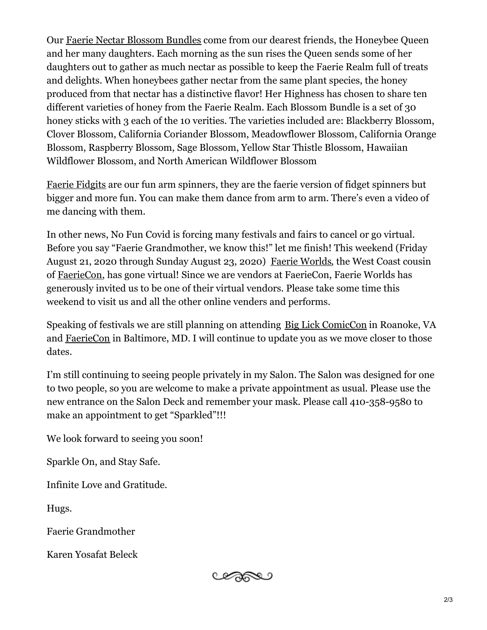Our Faerie Nectar [Blossom](https://shoutout.wix.com/so/9fNGE2eJB/c?w=V_Y7B5e6s2bPvDwKTT4rPdAueHs9Hzk35Dt_hoxTRds.eyJ1IjoiaHR0cHM6Ly9zdGF0aWMud2l4c3RhdGljLmNvbS9tZWRpYS9hY2NlZDNfODYyYjFlOWMwOTk0NDk1MDk4ZGQ2ODJkODUwOGNiNzJ-bXYyLmpwZy92MS9maWxsL3dfMjAwLGhfMTM3LGFsX2MscV84MCx1c21fMC42Nl8xLjAwXzAuMDEvMjAyMDA4MTFfMTY1NTMzX2VkaXRlZC53ZWJwIiwiciI6ImU4ODBlOGI2LTNhMjUtNDg0Ni00NWE0LTY0ZjQ0NjBlMDI4NCIsIm0iOiJscCJ9) Bundles come from our dearest friends, the Honeybee Queen and her many daughters. Each morning as the sun rises the Queen sends some of her daughters out to gather as much nectar as possible to keep the Faerie Realm full of treats and delights. When honeybees gather nectar from the same plant species, the honey produced from that nectar has a distinctive flavor! Her Highness has chosen to share ten different varieties of honey from the Faerie Realm. Each Blossom Bundle is a set of 30 honey sticks with 3 each of the 10 verities. The varieties included are: Blackberry Blossom, Clover Blossom, California Coriander Blossom, Meadowflower Blossom, California Orange Blossom, Raspberry Blossom, Sage Blossom, Yellow Star Thistle Blossom, Hawaiian Wildflower Blossom, and North American Wildflower Blossom

Faerie [Fidgits](https://shoutout.wix.com/so/9fNGE2eJB/c?w=IjzwQkwK0_u9_S1BJ4yMZ6Igcy5F6P8Zq2PF3VK2MM4.eyJ1IjoiRmFlcmllJTIwRmlkZ2l0cyIsInIiOiJlODgwZThiNi0zYTI1LTQ4NDYtNDVhNC02NGY0NDYwZTAyODQiLCJtIjoibHAifQ) are our fun arm spinners, they are the faerie version of fidget spinners but bigger and more fun. You can make them dance from arm to arm. There's even a video of me dancing with them.

In other news, No Fun Covid is forcing many festivals and fairs to cancel or go virtual. Before you say "Faerie Grandmother, we know this!" let me finish! This weekend (Friday August 21, 2020 through Sunday August 23, 2020) Faerie [Worlds](https://shoutout.wix.com/so/9fNGE2eJB/c?w=Cp04rpGUuIaBJJWXySKehvp_7I0t_idusi14VRKFhEY.eyJ1IjoiaHR0cHM6Ly9mYWVyaWV3b3JsZHMuY29tLyIsInIiOiJlODgwZThiNi0zYTI1LTQ4NDYtNDVhNC02NGY0NDYwZTAyODQiLCJtIjoibHAifQ), the West Coast cousin of [FaerieCon](https://shoutout.wix.com/so/9fNGE2eJB/c?w=GGfBv_f1Po8J4-4IXqyOrgYTjapbrbEAYgf5C3gABZw.eyJ1IjoiaHR0cHM6Ly9mYWVyaWV3b3JsZHMubXlzaG9waWZ5LmNvbS9wcm9kdWN0cy9mYWVyaWVjb24tMjAyMD92YXJpYW50PTMxMDk3NDUyODU1Mzg1IiwiciI6ImU4ODBlOGI2LTNhMjUtNDg0Ni00NWE0LTY0ZjQ0NjBlMDI4NCIsIm0iOiJscCJ9), has gone virtual! Since we are vendors at FaerieCon, Faerie Worlds has generously invited us to be one of their virtual vendors. Please take some time this weekend to visit us and all the other online venders and performs.

Speaking of festivals we are still planning on attending Big Lick [ComicCon](https://shoutout.wix.com/so/9fNGE2eJB/c?w=7gE3jNwPRX86i4gleLHvbnTSPc_WZPn0NiAxsr9A-14.eyJ1IjoiaHR0cDovL2JpZ2xpY2tjb21pY2Nvbi5jb20vIiwiciI6ImU4ODBlOGI2LTNhMjUtNDg0Ni00NWE0LTY0ZjQ0NjBlMDI4NCIsIm0iOiJscCJ9) in Roanoke, VA and [FaerieCon](https://shoutout.wix.com/so/9fNGE2eJB/c?w=GGfBv_f1Po8J4-4IXqyOrgYTjapbrbEAYgf5C3gABZw.eyJ1IjoiaHR0cHM6Ly9mYWVyaWV3b3JsZHMubXlzaG9waWZ5LmNvbS9wcm9kdWN0cy9mYWVyaWVjb24tMjAyMD92YXJpYW50PTMxMDk3NDUyODU1Mzg1IiwiciI6ImU4ODBlOGI2LTNhMjUtNDg0Ni00NWE0LTY0ZjQ0NjBlMDI4NCIsIm0iOiJscCJ9) in Baltimore, MD. I will continue to update you as we move closer to those dates.

I'm still continuing to seeing people privately in my Salon. The Salon was designed for one to two people, so you are welcome to make a private appointment as usual. Please use the new entrance on the Salon Deck and remember your mask. Please call 410-358-9580 to make an appointment to get "Sparkled"!!!

We look forward to seeing you soon!

Sparkle On, and Stay Safe.

Infinite Love and Gratitude.

Hugs.

Faerie Grandmother

Karen Yosafat Beleck